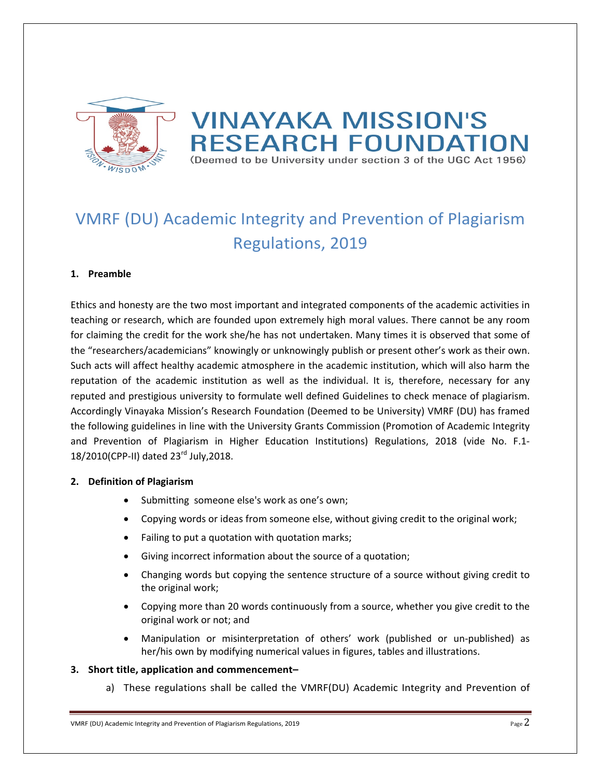

# **VINAYAKA MISSION'S RESEARCH FOUNDATION** (Deemed to be University under section 3 of the UGC Act 1956)

# VMRF (DU) Academic Integrity and Prevention of Plagiarism Regulations, 2019

### **1. Preamble**

Ethics and honesty are the two most important and integrated components of the academic activities in teaching or research, which are founded upon extremely high moral values. There cannot be any room for claiming the credit for the work she/he has not undertaken. Many times it is observed that some of the "researchers/academicians" knowingly or unknowingly publish or present other's work as their own. Such acts will affect healthy academic atmosphere in the academic institution, which will also harm the reputation of the academic institution as well as the individual. It is, therefore, necessary for any reputed and prestigious university to formulate well defined Guidelines to check menace of plagiarism. Accordingly Vinayaka Mission's Research Foundation (Deemed to be University) VMRF (DU) has framed the following guidelines in line with the University Grants Commission (Promotion of Academic Integrity and Prevention of Plagiarism in Higher Education Institutions) Regulations, 2018 (vide No. F.1‐ 18/2010(CPP-II) dated 23<sup>rd</sup> July, 2018.

### **2. Definition of Plagiarism**

- Submitting someone else's work as one's own;
- Copying words or ideas from someone else, without giving credit to the original work;
- Failing to put a quotation with quotation marks;
- Giving incorrect information about the source of a quotation;
- Changing words but copying the sentence structure of a source without giving credit to the original work;
- Copying more than 20 words continuously from a source, whether you give credit to the original work or not; and
- Manipulation or misinterpretation of others' work (published or un‐published) as her/his own by modifying numerical values in figures, tables and illustrations.

### **3. Short title, application and commencement–**

a) These regulations shall be called the VMRF(DU) Academic Integrity and Prevention of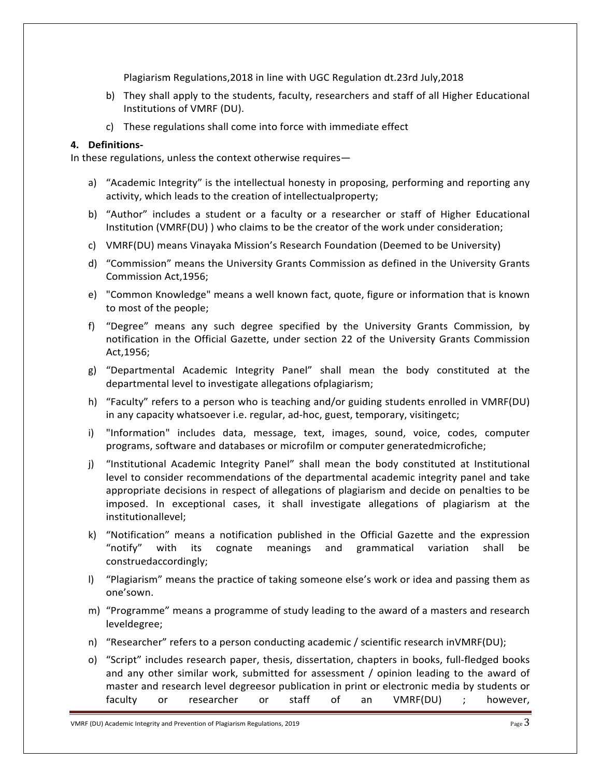Plagiarism Regulations,2018 in line with UGC Regulation dt.23rd July,2018

- b) They shall apply to the students, faculty, researchers and staff of all Higher Educational Institutions of VMRF (DU).
- c) These regulations shall come into force with immediate effect

#### **4. Definitions‐**

In these regulations, unless the context otherwise requires—

- a) "Academic Integrity" is the intellectual honesty in proposing, performing and reporting any activity, which leads to the creation of intellectualproperty;
- b) "Author" includes a student or a faculty or a researcher or staff of Higher Educational Institution (VMRF(DU) ) who claims to be the creator of the work under consideration;
- c) VMRF(DU) means Vinayaka Mission's Research Foundation (Deemed to be University)
- d) "Commission" means the University Grants Commission as defined in the University Grants Commission Act,1956;
- e) "Common Knowledge" means a well known fact, quote, figure or information that is known to most of the people;
- f) "Degree" means any such degree specified by the University Grants Commission, by notification in the Official Gazette, under section 22 of the University Grants Commission Act,1956;
- g) "Departmental Academic Integrity Panel" shall mean the body constituted at the departmental level to investigate allegations ofplagiarism;
- h) "Faculty" refers to a person who is teaching and/or guiding students enrolled in VMRF(DU) in any capacity whatsoever i.e. regular, ad‐hoc, guest, temporary, visitingetc;
- i) "Information" includes data, message, text, images, sound, voice, codes, computer programs, software and databases or microfilm or computer generatedmicrofiche;
- j) "Institutional Academic Integrity Panel" shall mean the body constituted at Institutional level to consider recommendations of the departmental academic integrity panel and take appropriate decisions in respect of allegations of plagiarism and decide on penalties to be imposed. In exceptional cases, it shall investigate allegations of plagiarism at the institutionallevel;
- k) "Notification" means a notification published in the Official Gazette and the expression "notify" with its cognate meanings and grammatical variation shall be construedaccordingly;
- l) "Plagiarism" means the practice of taking someone else's work or idea and passing them as one'sown.
- m) "Programme" means a programme of study leading to the award of a masters and research leveldegree;
- n) "Researcher" refers to a person conducting academic / scientific research inVMRF(DU);
- o) "Script" includes research paper, thesis, dissertation, chapters in books, full‐fledged books and any other similar work, submitted for assessment / opinion leading to the award of master and research level degreesor publication in print or electronic media by students or faculty or researcher or staff of an VMRF(DU) ; however,

VMRF (DU) Academic Integrity and Prevention of Plagiarism Regulations, 2019  $P_{\text{age}}3$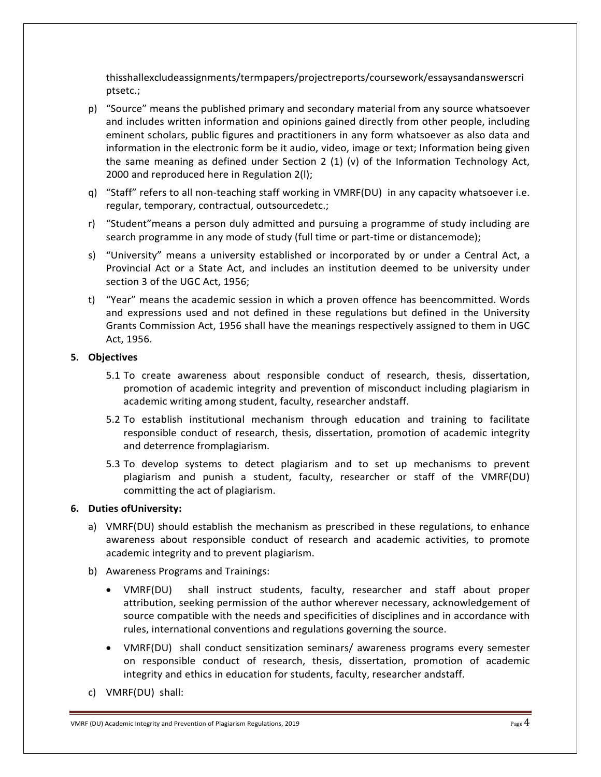thisshallexcludeassignments/termpapers/projectreports/coursework/essaysandanswerscri ptsetc.;

- p) "Source" means the published primary and secondary material from any source whatsoever and includes written information and opinions gained directly from other people, including eminent scholars, public figures and practitioners in any form whatsoever as also data and information in the electronic form be it audio, video, image or text; Information being given the same meaning as defined under Section 2 (1) (v) of the Information Technology Act, 2000 and reproduced here in Regulation 2(l);
- q) "Staff" refers to all non-teaching staff working in VMRF(DU) in any capacity whatsoever i.e. regular, temporary, contractual, outsourcedetc.;
- r) "Student"means a person duly admitted and pursuing a programme of study including are search programme in any mode of study (full time or part-time or distancemode);
- s) "University" means a university established or incorporated by or under a Central Act, a Provincial Act or a State Act, and includes an institution deemed to be university under section 3 of the UGC Act, 1956;
- t) "Year" means the academic session in which a proven offence has beencommitted. Words and expressions used and not defined in these regulations but defined in the University Grants Commission Act, 1956 shall have the meanings respectively assigned to them in UGC Act, 1956.

#### **5. Objectives**

- 5.1 To create awareness about responsible conduct of research, thesis, dissertation, promotion of academic integrity and prevention of misconduct including plagiarism in academic writing among student, faculty, researcher andstaff.
- 5.2 To establish institutional mechanism through education and training to facilitate responsible conduct of research, thesis, dissertation, promotion of academic integrity and deterrence fromplagiarism.
- 5.3 To develop systems to detect plagiarism and to set up mechanisms to prevent plagiarism and punish a student, faculty, researcher or staff of the VMRF(DU) committing the act of plagiarism.

#### **6. Duties ofUniversity:**

- a) VMRF(DU) should establish the mechanism as prescribed in these regulations, to enhance awareness about responsible conduct of research and academic activities, to promote academic integrity and to prevent plagiarism.
- b) Awareness Programs and Trainings:
	- VMRF(DU) shall instruct students, faculty, researcher and staff about proper attribution, seeking permission of the author wherever necessary, acknowledgement of source compatible with the needs and specificities of disciplines and in accordance with rules, international conventions and regulations governing the source.
	- VMRF(DU) shall conduct sensitization seminars/ awareness programs every semester on responsible conduct of research, thesis, dissertation, promotion of academic integrity and ethics in education for students, faculty, researcher andstaff.
- c) VMRF(DU) shall:

VMRF (DU) Academic Integrity and Prevention of Plagiarism Regulations, 2019  $P_{\text{age}}4$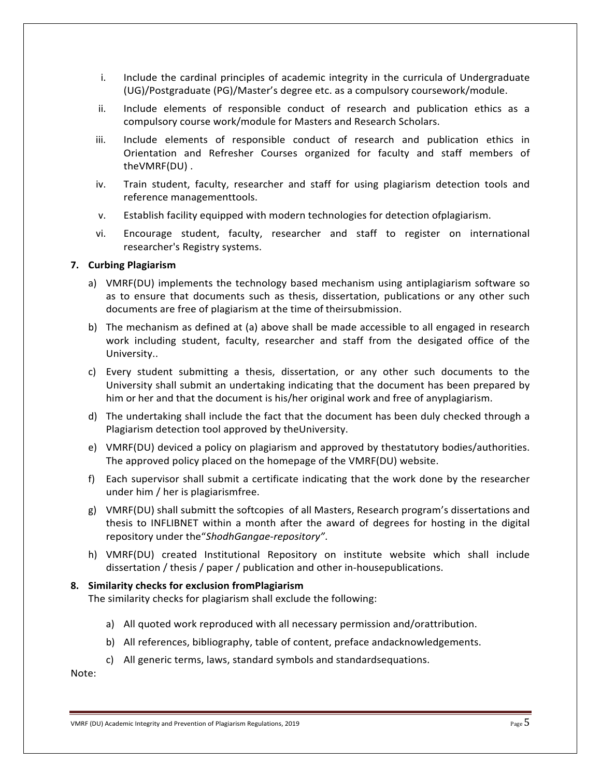- i. Include the cardinal principles of academic integrity in the curricula of Undergraduate (UG)/Postgraduate (PG)/Master's degree etc. as a compulsory coursework/module.
- ii. Include elements of responsible conduct of research and publication ethics as a compulsory course work/module for Masters and Research Scholars.
- iii. Include elements of responsible conduct of research and publication ethics in Orientation and Refresher Courses organized for faculty and staff members of theVMRF(DU) .
- iv. Train student, faculty, researcher and staff for using plagiarism detection tools and reference managementtools.
- v. Establish facility equipped with modern technologies for detection ofplagiarism.
- vi. Encourage student, faculty, researcher and staff to register on international researcher's Registry systems.

#### **7. Curbing Plagiarism**

- a) VMRF(DU) implements the technology based mechanism using antiplagiarism software so as to ensure that documents such as thesis, dissertation, publications or any other such documents are free of plagiarism at the time of theirsubmission.
- b) The mechanism as defined at (a) above shall be made accessible to all engaged in research work including student, faculty, researcher and staff from the desigated office of the University..
- c) Every student submitting a thesis, dissertation, or any other such documents to the University shall submit an undertaking indicating that the document has been prepared by him or her and that the document is his/her original work and free of anyplagiarism.
- d) The undertaking shall include the fact that the document has been duly checked through a Plagiarism detection tool approved by theUniversity.
- e) VMRF(DU) deviced a policy on plagiarism and approved by thestatutory bodies/authorities. The approved policy placed on the homepage of the VMRF(DU) website.
- f) Each supervisor shall submit a certificate indicating that the work done by the researcher under him / her is plagiarismfree.
- g) VMRF(DU) shall submitt the softcopies of all Masters, Research program's dissertations and thesis to INFLIBNET within a month after the award of degrees for hosting in the digital repository under the"*ShodhGangae‐repository"*.
- h) VMRF(DU) created Institutional Repository on institute website which shall include dissertation / thesis / paper / publication and other in‐housepublications.

#### **8. Similarity checks for exclusion fromPlagiarism**

The similarity checks for plagiarism shall exclude the following:

- a) All quoted work reproduced with all necessary permission and/orattribution.
- b) All references, bibliography, table of content, preface andacknowledgements.
- c) All generic terms, laws, standard symbols and standardsequations.

Note:

VMRF (DU) Academic Integrity and Prevention of Plagiarism Regulations, 2019 **Page 1**  $\overline{5}$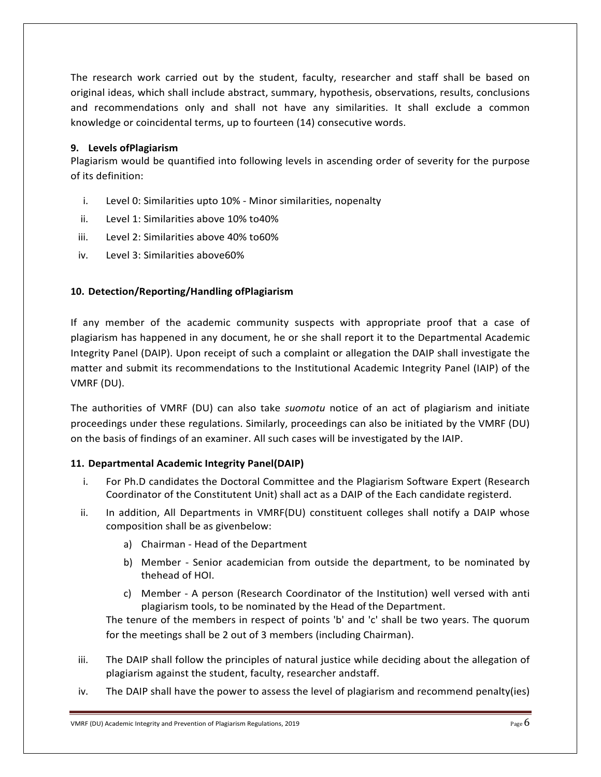The research work carried out by the student, faculty, researcher and staff shall be based on original ideas, which shall include abstract, summary, hypothesis, observations, results, conclusions and recommendations only and shall not have any similarities. It shall exclude a common knowledge or coincidental terms, up to fourteen (14) consecutive words.

### **9. Levels ofPlagiarism**

Plagiarism would be quantified into following levels in ascending order of severity for the purpose of its definition:

- i. Level 0: Similarities upto 10% ‐ Minor similarities, nopenalty
- ii. Level 1: Similarities above 10% to40%
- iii. Level 2: Similarities above 40% to60%
- iv. Level 3: Similarities above60%

## **10. Detection/Reporting/Handling ofPlagiarism**

If any member of the academic community suspects with appropriate proof that a case of plagiarism has happened in any document, he or she shall report it to the Departmental Academic Integrity Panel (DAIP). Upon receipt of such a complaint or allegation the DAIP shall investigate the matter and submit its recommendations to the Institutional Academic Integrity Panel (IAIP) of the VMRF (DU).

The authorities of VMRF (DU) can also take *suomotu*  notice of an act of plagiarism and initiate proceedings under these regulations. Similarly, proceedings can also be initiated by the VMRF (DU) on the basis of findings of an examiner. All such cases will be investigated by the IAIP.

## **11. Departmental Academic Integrity Panel(DAIP)**

- i. For Ph.D candidates the Doctoral Committee and the Plagiarism Software Expert (Research Coordinator of the Constitutent Unit) shall act as a DAIP of the Each candidate registerd.
- ii. In addition, All Departments in VMRF(DU) constituent colleges shall notify a DAIP whose composition shall be as givenbelow:
	- a) Chairman ‐ Head of the Department
	- b) Member Senior academician from outside the department, to be nominated by thehead of HOI.
	- c) Member ‐ A person (Research Coordinator of the Institution) well versed with anti plagiarism tools, to be nominated by the Head of the Department.

The tenure of the members in respect of points 'b' and 'c' shall be two years. The quorum for the meetings shall be 2 out of 3 members (including Chairman).

- iii. The DAIP shall follow the principles of natural justice while deciding about the allegation of plagiarism against the student, faculty, researcher andstaff.
- iv. The DAIP shall have the power to assess the level of plagiarism and recommend penalty(ies)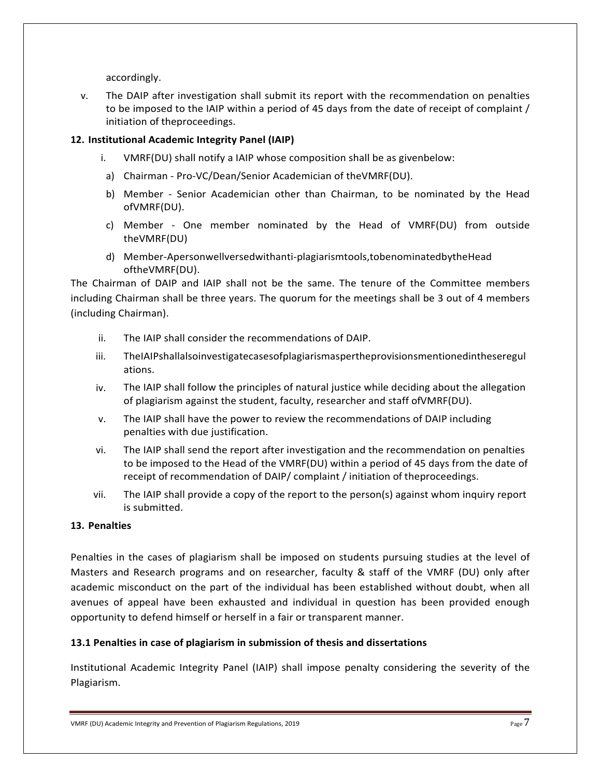accordingly.

v. The DAIP after investigation shall submit its report with the recommendation on penalties to be imposed to the IAIP within a period of 45 days from the date of receipt of complaint / initiation of theproceedings.

## **12. Institutional Academic Integrity Panel (IAIP)**

- i. VMRF(DU) shall notify a IAIP whose composition shall be as givenbelow:
- a) Chairman ‐ Pro‐VC/Dean/Senior Academician of theVMRF(DU).
- b) Member Senior Academician other than Chairman, to be nominated by the Head ofVMRF(DU).
- c) Member ‐ One member nominated by the Head of VMRF(DU) from outside theVMRF(DU)
- d) Member‐Apersonwellversedwithanti‐plagiarismtools,tobenominatedbytheHead oftheVMRF(DU).

The Chairman of DAIP and IAIP shall not be the same. The tenure of the Committee members including Chairman shall be three years. The quorum for the meetings shall be 3 out of 4 members (including Chairman).

- ii. The IAIP shall consider the recommendations of DAIP.
- iii. TheIAIPshallalsoinvestigatecasesofplagiarismaspertheprovisionsmentionedintheseregul ations.
- iv. The IAIP shall follow the principles of natural justice while deciding about the allegation of plagiarism against the student, faculty, researcher and staff ofVMRF(DU).
- v. The IAIP shall have the power to review the recommendations of DAIP including penalties with due justification.
- vi. The IAIP shall send the report after investigation and the recommendation on penalties to be imposed to the Head of the VMRF(DU) within a period of 45 days from the date of receipt of recommendation of DAIP/ complaint / initiation of theproceedings.
- vii. The IAIP shall provide a copy of the report to the person(s) against whom inquiry report is submitted.

### **13. Penalties**

Penalties in the cases of plagiarism shall be imposed on students pursuing studies at the level of Masters and Research programs and on researcher, faculty & staff of the VMRF (DU) only after academic misconduct on the part of the individual has been established without doubt, when all avenues of appeal have been exhausted and individual in question has been provided enough opportunity to defend himself or herself in a fair or transparent manner.

## **13.1 Penalties in case of plagiarism in submission of thesis and dissertations**

Institutional Academic Integrity Panel (IAIP) shall impose penalty considering the severity of the Plagiarism.

VMRF (DU) Academic Integrity and Prevention of Plagiarism Regulations, 2019  $P_{\text{age}}$   $7$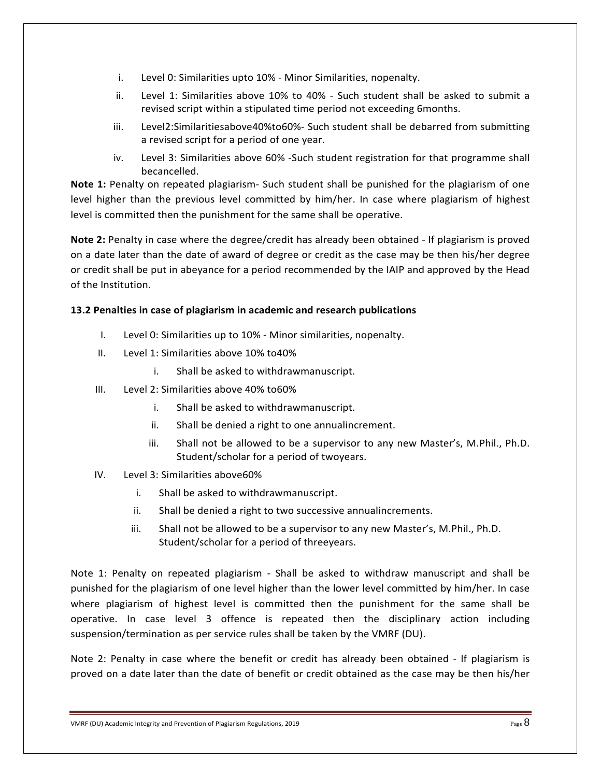- i. Level 0: Similarities upto 10% ‐ Minor Similarities, nopenalty.
- ii. Level 1: Similarities above 10% to 40% Such student shall be asked to submit a revised script within a stipulated time period not exceeding 6months.
- iii. Level2:Similaritiesabove40%to60%‐ Such student shall be debarred from submitting a revised script for a period of one year.
- iv. Level 3: Similarities above 60% ‐Such student registration for that programme shall becancelled.

**Note 1:** Penalty on repeated plagiarism- Such student shall be punished for the plagiarism of one level higher than the previous level committed by him/her. In case where plagiarism of highest level is committed then the punishment for the same shall be operative.

**Note 2:** Penalty in case where the degree/credit has already been obtained ‐ If plagiarism is proved on a date later than the date of award of degree or credit as the case may be then his/her degree or credit shall be put in abeyance for a period recommended by the IAIP and approved by the Head of the Institution.

### **13.2 Penalties in case of plagiarism in academic and research publications**

- I. Level 0: Similarities up to 10% ‐ Minor similarities, nopenalty.
- II. Level 1: Similarities above 10% to40%
	- i. Shall be asked to withdrawmanuscript.
- III. Level 2: Similarities above 40% to60%
	- i. Shall be asked to withdrawmanuscript.
	- ii. Shall be denied a right to one annualincrement.
	- iii. Shall not be allowed to be a supervisor to any new Master's, M.Phil., Ph.D. Student/scholar for a period of twoyears.
- IV. Level 3: Similarities above60%
	- i. Shall be asked to withdrawmanuscript.
	- ii. Shall be denied a right to two successive annualincrements.
	- iii. Shall not be allowed to be a supervisor to any new Master's, M.Phil., Ph.D. Student/scholar for a period of threeyears.

Note 1: Penalty on repeated plagiarism - Shall be asked to withdraw manuscript and shall be punished for the plagiarism of one level higher than the lower level committed by him/her. In case where plagiarism of highest level is committed then the punishment for the same shall be operative. In case level 3 offence is repeated then the disciplinary action including suspension/termination as per service rules shall be taken by the VMRF (DU).

Note 2: Penalty in case where the benefit or credit has already been obtained - If plagiarism is proved on a date later than the date of benefit or credit obtained as the case may be then his/her

VMRF (DU) Academic Integrity and Prevention of Plagiarism Regulations, 2019  $P_{\text{age}}8$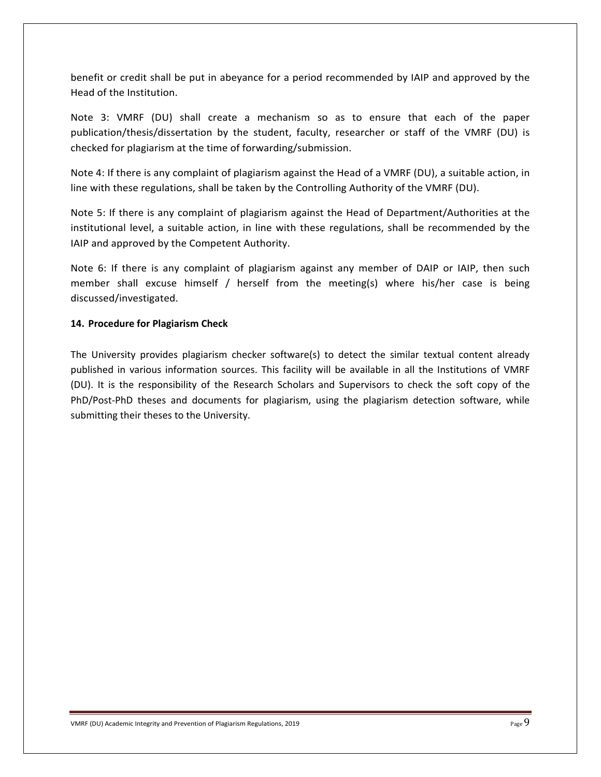benefit or credit shall be put in abeyance for a period recommended by IAIP and approved by the Head of the Institution.

Note 3: VMRF (DU) shall create a mechanism so as to ensure that each of the paper publication/thesis/dissertation by the student, faculty, researcher or staff of the VMRF (DU) is checked for plagiarism at the time of forwarding/submission.

Note 4: If there is any complaint of plagiarism against the Head of a VMRF (DU), a suitable action, in line with these regulations, shall be taken by the Controlling Authority of the VMRF (DU).

Note 5: If there is any complaint of plagiarism against the Head of Department/Authorities at the institutional level, a suitable action, in line with these regulations, shall be recommended by the IAIP and approved by the Competent Authority.

Note 6: If there is any complaint of plagiarism against any member of DAIP or IAIP, then such member shall excuse himself / herself from the meeting(s) where his/her case is being discussed/investigated.

### **14. Procedure for Plagiarism Check**

The University provides plagiarism checker software(s) to detect the similar textual content already published in various information sources. This facility will be available in all the Institutions of VMRF (DU). It is the responsibility of the Research Scholars and Supervisors to check the soft copy of the PhD/Post-PhD theses and documents for plagiarism, using the plagiarism detection software, while submitting their theses to the University.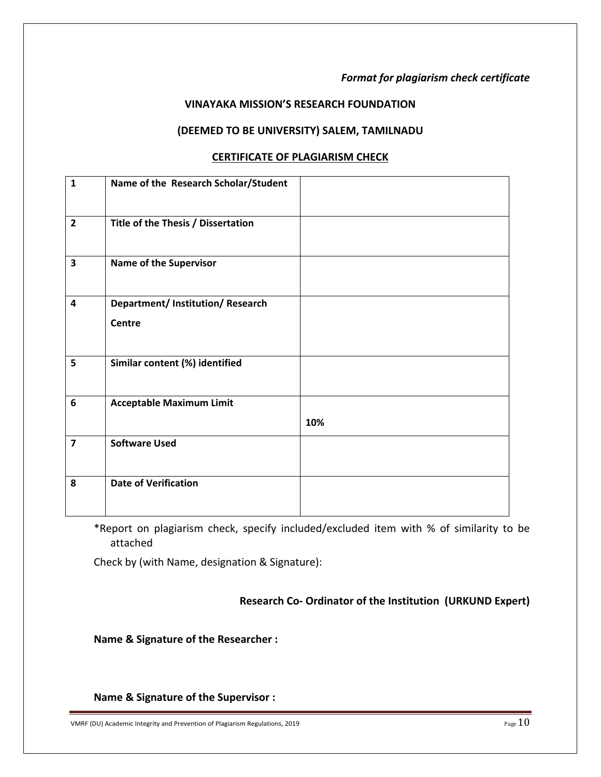# *Format for plagiarism check certificate*

## **VINAYAKA MISSION'S RESEARCH FOUNDATION**

## **(DEEMED TO BE UNIVERSITY) SALEM, TAMILNADU**

## **CERTIFICATE OF PLAGIARISM CHECK**

| $\mathbf{1}$            | Name of the Research Scholar/Student               |     |
|-------------------------|----------------------------------------------------|-----|
| $\overline{2}$          | Title of the Thesis / Dissertation                 |     |
| $\overline{\mathbf{3}}$ | <b>Name of the Supervisor</b>                      |     |
| 4                       | Department/ Institution/ Research<br><b>Centre</b> |     |
| 5                       | Similar content (%) identified                     |     |
| $6\phantom{1}$          | <b>Acceptable Maximum Limit</b>                    | 10% |
| $\overline{\mathbf{z}}$ | <b>Software Used</b>                               |     |
| 8                       | <b>Date of Verification</b>                        |     |

\*Report on plagiarism check, specify included/excluded item with % of similarity to be attached

Check by (with Name, designation & Signature):

 **Research Co‐ Ordinator of the Institution (URKUND Expert)** 

**Name & Signature of the Researcher :** 

**Name & Signature of the Supervisor :** 

VMRF (DU) Academic Integrity and Prevention of Plagiarism Regulations, 2019 **Page 10** Page 10